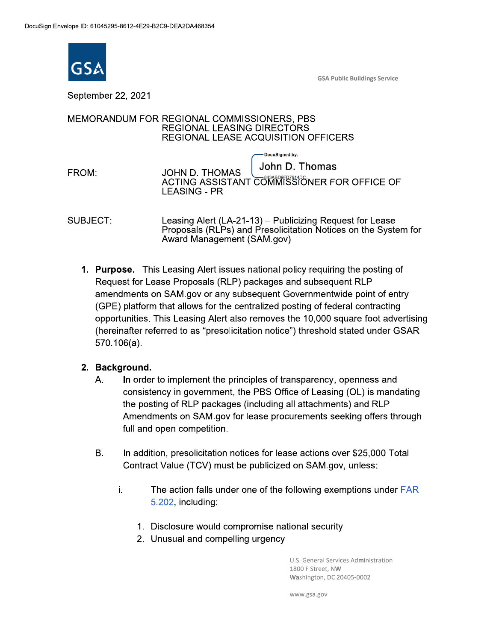

**GSA Public Buildings Service** 

September 22, 2021

# MEMORANDUM FOR REGIONAL COMMISSIONERS, PBS **REGIONAL LEASING DIRECTORS REGIONAL LEASE ACQUISITION OFFICERS**

-DocuSigned by: John D. Thomas FROM: **JOHN D. THOMAS** ACTING ASSISTANT COMMISSIONER FOR OFFICE OF **LEASING - PR** 

SUBJECT: Leasing Alert (LA-21-13) – Publicizing Request for Lease Proposals (RLPs) and Presolicitation Notices on the System for Award Management (SAM.gov)

1. Purpose. This Leasing Alert issues national policy requiring the posting of Request for Lease Proposals (RLP) packages and subsequent RLP amendments on SAM.gov or any subsequent Governmentwide point of entry (GPE) platform that allows for the centralized posting of federal contracting opportunities. This Leasing Alert also removes the 10,000 square foot advertising (hereinafter referred to as "presolicitation notice") threshold stated under GSAR  $570.106(a)$ .

# 2. Background.

- $A_{1}$ In order to implement the principles of transparency, openness and consistency in government, the PBS Office of Leasing (OL) is mandating the posting of RLP packages (including all attachments) and RLP Amendments on SAM gov for lease procurements seeking offers through full and open competition.
- **B.** In addition, presolicitation notices for lease actions over \$25,000 Total Contract Value (TCV) must be publicized on SAM.gov, unless:
	- İ. The action falls under one of the following exemptions under FAR 5.202, including:
		- 1. Disclosure would compromise national security
		- 2. Unusual and compelling urgency

U.S. General Services Administration 1800 F Street, NW Washington, DC 20405-0002

www.gsa.gov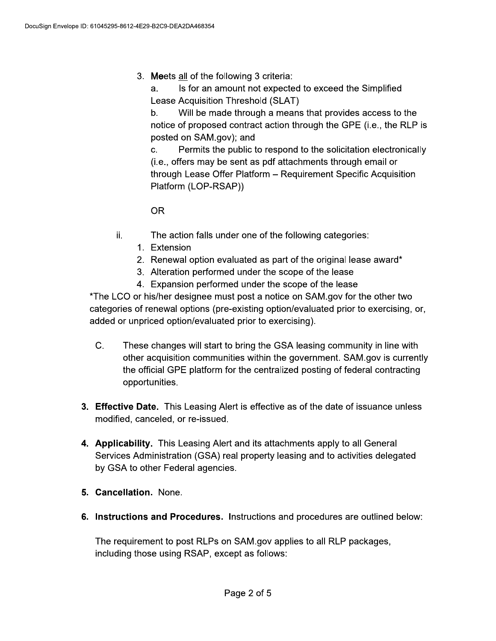3. Meets all of the following 3 criteria:

a. Is for an amount not expected to exceed the Simplified Lease Acquisition Threshold (SLAT)

Will be made through a means that provides access to the  $b_{1}$ notice of proposed contract action through the GPE (i.e., the RLP is posted on SAM.gov); and

Permits the public to respond to the solicitation electronically  $C_{-}$ (i.e., offers may be sent as pdf attachments through email or through Lease Offer Platform - Requirement Specific Acquisition Platform (LOP-RSAP))

**OR** 

- ii. The action falls under one of the following categories:
	- 1. Extension
	- 2. Renewal option evaluated as part of the original lease award\*
	- 3. Alteration performed under the scope of the lease
	- 4. Expansion performed under the scope of the lease

\*The LCO or his/her designee must post a notice on SAM.gov for the other two categories of renewal options (pre-existing option/evaluated prior to exercising, or, added or unpriced option/evaluated prior to exercising).

- $C_{-}$ These changes will start to bring the GSA leasing community in line with other acquisition communities within the government. SAM.gov is currently the official GPE platform for the centralized posting of federal contracting opportunities.
- 3. Effective Date. This Leasing Alert is effective as of the date of issuance unless modified, canceled, or re-issued.
- 4. Applicability. This Leasing Alert and its attachments apply to all General Services Administration (GSA) real property leasing and to activities delegated by GSA to other Federal agencies.
- 5. Cancellation. None.
- 6. Instructions and Procedures. Instructions and procedures are outlined below:

The requirement to post RLPs on SAM gov applies to all RLP packages, including those using RSAP, except as follows: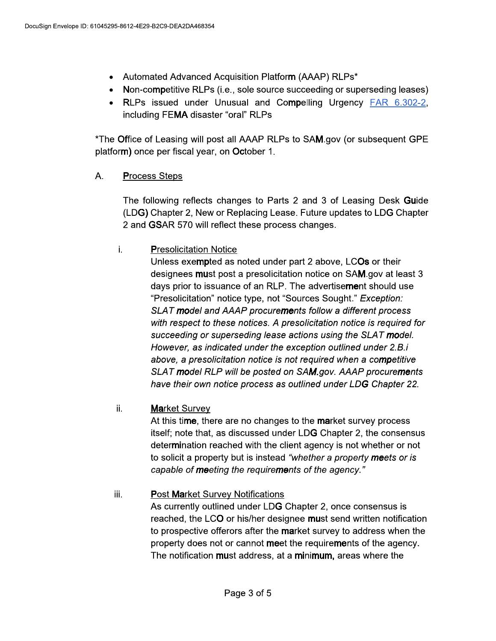- Automated Advanced Acquisition Platform (AAAP) RLPs\*  $\bullet$
- Non-competitive RLPs (i.e., sole source succeeding or superseding leases)
- RLPs issued under Unusual and Compelling Urgency FAR 6.302-2, including FEMA disaster "oral" RLPs

\*The Office of Leasing will post all AAAP RLPs to SAM.gov (or subsequent GPE platform) once per fiscal year, on October 1.

## А. **Process Steps**

The following reflects changes to Parts 2 and 3 of Leasing Desk Guide (LDG) Chapter 2, New or Replacing Lease. Future updates to LDG Chapter 2 and GSAR 570 will reflect these process changes.

# İ. **Presolicitation Notice**

Unless exempted as noted under part 2 above, LCOs or their designees must post a presolicitation notice on SAM gov at least 3 days prior to issuance of an RLP. The advertisement should use "Presolicitation" notice type, not "Sources Sought." Exception: SLAT model and AAAP procurements follow a different process with respect to these notices. A presolicitation notice is required for succeeding or superseding lease actions using the SLAT model. However, as indicated under the exception outlined under 2.B.i above, a presolicitation notice is not required when a competitive SLAT model RLP will be posted on SAM.gov. AAAP procurements have their own notice process as outlined under LDG Chapter 22.

## ii. **Market Survey**

At this time, there are no changes to the market survey process itself; note that, as discussed under LDG Chapter 2, the consensus determination reached with the client agency is not whether or not to solicit a property but is instead "whether a property meets or is capable of meeting the requirements of the agency."

## iii. **Post Market Survey Notifications**

As currently outlined under LDG Chapter 2, once consensus is reached, the LCO or his/her designee must send written notification to prospective offerors after the market survey to address when the property does not or cannot meet the requirements of the agency. The notification must address, at a minimum, areas where the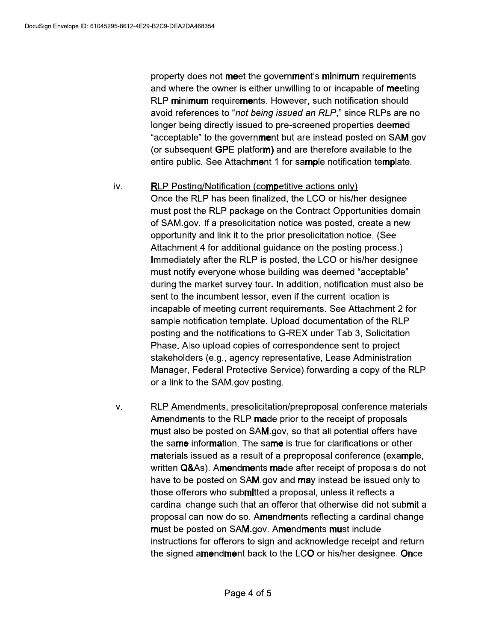property does not meet the government's minimum requirements and where the owner is either unwilling to or incapable of meeting RLP minimum requirements. However, such notification should avoid references to "not being issued an RLP," since RLPs are no longer being directly issued to pre-screened properties deemed "acceptable" to the government but are instead posted on SAM.gov (or subsequent GPE platform) and are therefore available to the entire public. See Attachment 1 for sample notification template.

#### iv. **RLP Posting/Notification (competitive actions only)**

Once the RLP has been finalized, the LCO or his/her designee must post the RLP package on the Contract Opportunities domain of SAM.gov. If a presolicitation notice was posted, create a new opportunity and link it to the prior presolicitation notice. (See Attachment 4 for additional guidance on the posting process.) Immediately after the RLP is posted, the LCO or his/her designee must notify everyone whose building was deemed "acceptable" during the market survey tour. In addition, notification must also be sent to the incumbent lessor, even if the current location is incapable of meeting current requirements. See Attachment 2 for sample notification template. Upload documentation of the RLP posting and the notifications to G-REX under Tab 3, Solicitation Phase. Also upload copies of correspondence sent to project stakeholders (e.g., agency representative, Lease Administration Manager, Federal Protective Service) forwarding a copy of the RLP or a link to the SAM gov posting.

RLP Amendments, presolicitation/preproposal conference materials V. Amendments to the RLP made prior to the receipt of proposals must also be posted on SAM.gov, so that all potential offers have the same information. The same is true for clarifications or other materials issued as a result of a preproposal conference (example, written Q&As). Amendments made after receipt of proposals do not have to be posted on SAM gov and may instead be issued only to those offerors who submitted a proposal, unless it reflects a cardinal change such that an offeror that otherwise did not submit a proposal can now do so. Amendments reflecting a cardinal change must be posted on SAM.gov. Amendments must include instructions for offerors to sign and acknowledge receipt and return the signed amendment back to the LCO or his/her designee. Once